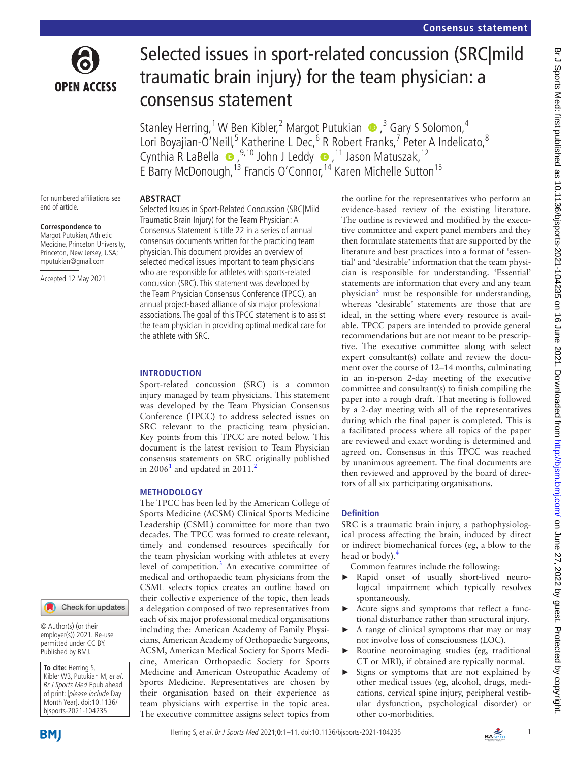

# Selected issues in sport-related concussion (SRC|mild traumatic brain injury) for the team physician: a consensus statement

StanleyHerring,<sup>1</sup> W Ben Kibler,<sup>2</sup> Margot Putukian (D,<sup>3</sup> Gary S Solomon,<sup>4</sup> Lori Boyajian-O'Neill,<sup>5</sup> Katherine L Dec,<sup>6</sup> R Robert Franks,<sup>7</sup> Peter A Indelicato,<sup>8</sup> CynthiaR LaBella  $\bullet$ , <sup>9,10</sup> John J Leddy  $\bullet$ , <sup>11</sup> Jason Matuszak, <sup>12</sup> E Barry McDonough, <sup>13</sup> Francis O'Connor, <sup>14</sup> Karen Michelle Sutton<sup>15</sup>

For numbered affiliations see end of article.

#### **Correspondence to**

Margot Putukian, Athletic Medicine, Princeton University, Princeton, New Jersey, USA; mputukian@gmail.com

Accepted 12 May 2021

# **INTRODUCTION**

the athlete with SRC.

**ABSTRACT**

Sport-related concussion (SRC) is a common injury managed by team physicians. This statement was developed by the Team Physician Consensus Conference (TPCC) to address selected issues on SRC relevant to the practicing team physician. Key points from this TPCC are noted below. This document is the latest revision to Team Physician consensus statements on SRC originally published in 2006<sup>[1](#page-9-0)</sup> and updated in [2](#page-9-1)011.<sup>2</sup>

Selected Issues in Sport-Related Concussion (SRC|Mild Traumatic Brain Injury) for the Team Physician: A Consensus Statement is title 22 in a series of annual consensus documents written for the practicing team physician. This document provides an overview of selected medical issues important to team physicians who are responsible for athletes with sports-related concussion (SRC). This statement was developed by the Team Physician Consensus Conference (TPCC), an annual project-based alliance of six major professional associations. The goal of this TPCC statement is to assist the team physician in providing optimal medical care for

#### **METHODOLOGY**

The TPCC has been led by the American College of Sports Medicine (ACSM) Clinical Sports Medicine Leadership (CSML) committee for more than two decades. The TPCC was formed to create relevant, timely and condensed resources specifically for the team physician working with athletes at every level of competition.<sup>[3](#page-9-2)</sup> An executive committee of medical and orthopaedic team physicians from the CSML selects topics creates an outline based on their collective experience of the topic, then leads a delegation composed of two representatives from each of six major professional medical organisations including the: American Academy of Family Physicians, American Academy of Orthopaedic Surgeons, ACSM, American Medical Society for Sports Medicine, American Orthopaedic Society for Sports Medicine and American Osteopathic Academy of Sports Medicine. Representatives are chosen by their organisation based on their experience as team physicians with expertise in the topic area. The executive committee assigns select topics from

the outline for the representatives who perform an evidence-based review of the existing literature. The outline is reviewed and modified by the executive committee and expert panel members and they then formulate statements that are supported by the literature and best practices into a format of 'essential' and 'desirable' information that the team physician is responsible for understanding. 'Essential' statements are information that every and any team physician<sup>[3](#page-9-2)</sup> must be responsible for understanding, whereas 'desirable' statements are those that are ideal, in the setting where every resource is available. TPCC papers are intended to provide general recommendations but are not meant to be prescriptive. The executive committee along with select expert consultant(s) collate and review the document over the course of 12–14 months, culminating in an in-person 2-day meeting of the executive committee and consultant(s) to finish compiling the paper into a rough draft. That meeting is followed by a 2-day meeting with all of the representatives during which the final paper is completed. This is a facilitated process where all topics of the paper are reviewed and exact wording is determined and agreed on. Consensus in this TPCC was reached by unanimous agreement. The final documents are then reviewed and approved by the board of directors of all six participating organisations.

#### **Definition**

SRC is a traumatic brain injury, a pathophysiological process affecting the brain, induced by direct or indirect biomechanical forces (eg, a blow to the head or body).<sup>[4](#page-9-3)</sup>

Common features include the following:

- ► Rapid onset of usually short-lived neurological impairment which typically resolves spontaneously.
- Acute signs and symptoms that reflect a functional disturbance rather than structural injury.
- A range of clinical symptoms that may or may not involve loss of consciousness (LOC).
- Routine neuroimaging studies (eg, traditional CT or MRI), if obtained are typically normal.
- Signs or symptoms that are not explained by other medical issues (eg, alcohol, drugs, medications, cervical spine injury, peripheral vestibular dysfunction, psychological disorder) or other co-morbidities.

#### Check for updates

© Author(s) (or their employer(s)) 2021. Re-use permitted under CC BY. Published by BMJ.

**To cite:** Herring S, Kibler WB, Putukian M, et al. Br J Sports Med Epub ahead of print: [please include Day Month Year]. doi:10.1136/ bjsports-2021-104235

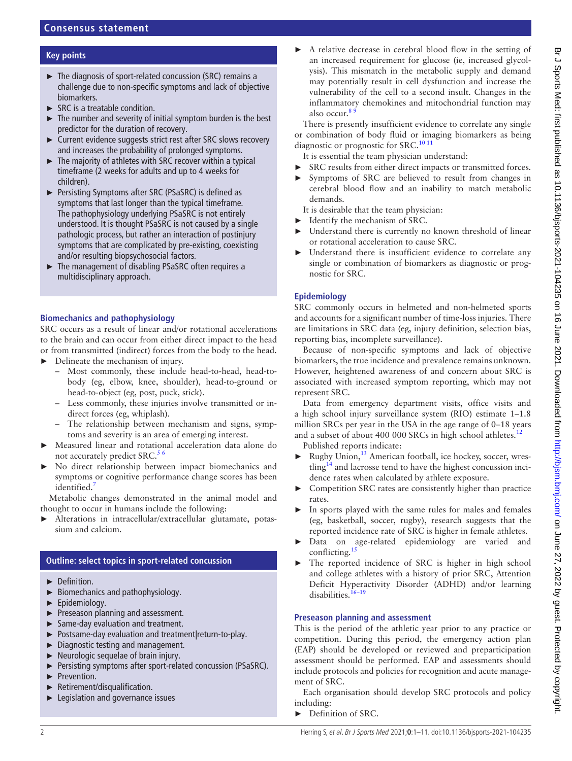#### **Key points**

- ► The diagnosis of sport-related concussion (SRC) remains a challenge due to non-specific symptoms and lack of objective biomarkers.
- ► SRC is a treatable condition.
- $\blacktriangleright$  The number and severity of initial symptom burden is the best predictor for the duration of recovery.
- ► Current evidence suggests strict rest after SRC slows recovery and increases the probability of prolonged symptoms.
- ► The majority of athletes with SRC recover within a typical timeframe (2 weeks for adults and up to 4 weeks for children).
- ► Persisting Symptoms after SRC (PSaSRC) is defined as symptoms that last longer than the typical timeframe. The pathophysiology underlying PSaSRC is not entirely understood. It is thought PSaSRC is not caused by a single pathologic process, but rather an interaction of postinjury symptoms that are complicated by pre-existing, coexisting and/or resulting biopsychosocial factors.
- ► The management of disabling PSaSRC often requires a multidisciplinary approach.

#### **Biomechanics and pathophysiology**

SRC occurs as a result of linear and/or rotational accelerations to the brain and can occur from either direct impact to the head or from transmitted (indirect) forces from the body to the head.

- ► Delineate the mechanism of injury.
	- Most commonly, these include head-to-head, head-tobody (eg, elbow, knee, shoulder), head-to-ground or head-to-object (eg, post, puck, stick).
	- Less commonly, these injuries involve transmitted or indirect forces (eg, whiplash).
	- The relationship between mechanism and signs, symptoms and severity is an area of emerging interest.
- ► Measured linear and rotational acceleration data alone do not accurately predict SRC.<sup>56</sup>
- No direct relationship between impact biomechanics and symptoms or cognitive performance change scores has been identified.<sup>[7](#page-9-5)</sup>

Metabolic changes demonstrated in the animal model and thought to occur in humans include the following:

Alterations in intracellular/extracellular glutamate, potassium and calcium.

#### **Outline: select topics in sport-related concussion**

- ► Definition.
- ► Biomechanics and pathophysiology.
- ► Epidemiology.
- Preseason planning and assessment.
- ► Same-day evaluation and treatment.
- ► Postsame-day evaluation and treatment|return-to-play.
- Diagnostic testing and management.
- ► Neurologic sequelae of brain injury.
- ► Persisting symptoms after sport-related concussion (PSaSRC).
- Prevention.
- ► Retirement/disqualification.
- ► Legislation and governance issues

A relative decrease in cerebral blood flow in the setting of an increased requirement for glucose (ie, increased glycolysis). This mismatch in the metabolic supply and demand may potentially result in cell dysfunction and increase the vulnerability of the cell to a second insult. Changes in the inflammatory chemokines and mitochondrial function may also occur.<sup>85</sup>

There is presently insufficient evidence to correlate any single or combination of body fluid or imaging biomarkers as being diagnostic or prognostic for SRC.<sup>[10 11](#page-9-7)</sup>

It is essential the team physician understand:

- SRC results from either direct impacts or transmitted forces. Symptoms of SRC are believed to result from changes in
- cerebral blood flow and an inability to match metabolic demands.

It is desirable that the team physician:

- Identify the mechanism of SRC.
- Understand there is currently no known threshold of linear or rotational acceleration to cause SRC.
- Understand there is insufficient evidence to correlate any single or combination of biomarkers as diagnostic or prognostic for SRC.

#### **Epidemiology**

SRC commonly occurs in helmeted and non-helmeted sports and accounts for a significant number of time-loss injuries. There are limitations in SRC data (eg, injury definition, selection bias, reporting bias, incomplete surveillance).

Because of non-specific symptoms and lack of objective biomarkers, the true incidence and prevalence remains unknown. However, heightened awareness of and concern about SRC is associated with increased symptom reporting, which may not represent SRC.

Data from emergency department visits, office visits and a high school injury surveillance system (RIO) estimate 1–1.8 million SRCs per year in the USA in the age range of 0–18 years and a subset of about 400 000 SRCs in high school athletes.<sup>[12](#page-9-8)</sup>

Published reports indicate:

- ► Rugby Union,<sup>[13](#page-9-9)</sup> American football, ice hockey, soccer, wres- $t\text{ling}^{14}$  $t\text{ling}^{14}$  $t\text{ling}^{14}$  and lacrosse tend to have the highest concussion incidence rates when calculated by athlete exposure.
- ► Competition SRC rates are consistently higher than practice rates.
- In sports played with the same rules for males and females (eg, basketball, soccer, rugby), research suggests that the reported incidence rate of SRC is higher in female athletes.
- ► Data on age-related epidemiology are varied and conflicting.[15](#page-9-11)
- The reported incidence of SRC is higher in high school and college athletes with a history of prior SRC, Attention Deficit Hyperactivity Disorder (ADHD) and/or learning disabilities. $16-19$

#### **Preseason planning and assessment**

This is the period of the athletic year prior to any practice or competition. During this period, the emergency action plan (EAP) should be developed or reviewed and preparticipation assessment should be performed. EAP and assessments should include protocols and policies for recognition and acute management of SRC.

Each organisation should develop SRC protocols and policy including:

► Definition of SRC.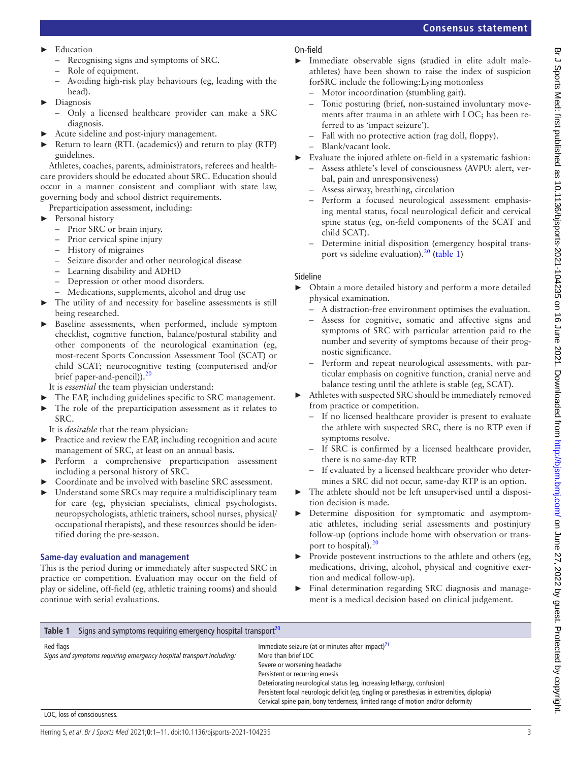- ► Education
	- Recognising signs and symptoms of SRC.
	- Role of equipment.
	- Avoiding high-risk play behaviours (eg, leading with the head).
- ► Diagnosis
	- Only a licensed healthcare provider can make a SRC diagnosis.
- Acute sideline and post-injury management.
- Return to learn (RTL (academics)) and return to play (RTP) guidelines.

Athletes, coaches, parents, administrators, referees and healthcare providers should be educated about SRC. Education should occur in a manner consistent and compliant with state law, governing body and school district requirements.

Preparticipation assessment, including:

- ► Personal history
	- Prior SRC or brain injury.
	- Prior cervical spine injury
	- History of migraines
	- Seizure disorder and other neurological disease
	- Learning disability and ADHD
	- Depression or other mood disorders.
	- Medications, supplements, alcohol and drug use
- The utility of and necessity for baseline assessments is still being researched.
- Baseline assessments, when performed, include symptom checklist, cognitive function, balance/postural stability and other components of the neurological examination (eg, most-recent Sports Concussion Assessment Tool (SCAT) or child SCAT; neurocognitive testing (computerised and/or brief paper-and-pencil)).<sup>20</sup>

It is *essential* the team physician understand:

- The EAP, including guidelines specific to SRC management.
- The role of the preparticipation assessment as it relates to SRC.

It is *desirable* that the team physician:

- Practice and review the EAP, including recognition and acute management of SRC, at least on an annual basis.
- Perform a comprehensive preparticipation assessment including a personal history of SRC.
- Coordinate and be involved with baseline SRC assessment.
- ► Understand some SRCs may require a multidisciplinary team for care (eg, physician specialists, clinical psychologists, neuropsychologists, athletic trainers, school nurses, physical/ occupational therapists), and these resources should be identified during the pre-season.

# **Same-day evaluation and management**

This is the period during or immediately after suspected SRC in practice or competition. Evaluation may occur on the field of play or sideline, off-field (eg, athletic training rooms) and should continue with serial evaluations.

# On-field

- Immediate observable signs (studied in elite adult maleathletes) have been shown to raise the index of suspicion forSRC include the following:Lying motionless
	- Motor incoordination (stumbling gait).
	- Tonic posturing (brief, non-sustained involuntary movements after trauma in an athlete with LOC; has been referred to as 'impact seizure').
	- Fall with no protective action (rag doll, floppy).
	- Blank/vacant look.
- Evaluate the injured athlete on-field in a systematic fashion: – Assess athlete's level of consciousness (AVPU: alert, ver
	- bal, pain and unresponsiveness) – Assess airway, breathing, circulation
	- Perform a focused neurological assessment emphasising mental status, focal neurological deficit and cervical spine status (eg, on-field components of the SCAT and child SCAT).
	- Determine initial disposition (emergency hospital transport vs sideline evaluation). $20$  ([table](#page-2-0) 1)

# Sideline

- ► Obtain a more detailed history and perform a more detailed physical examination.
	- A distraction-free environment optimises the evaluation.
	- Assess for cognitive, somatic and affective signs and symptoms of SRC with particular attention paid to the number and severity of symptoms because of their prognostic significance.
	- Perform and repeat neurological assessments, with particular emphasis on cognitive function, cranial nerve and balance testing until the athlete is stable (eg, SCAT).
- Athletes with suspected SRC should be immediately removed from practice or competition.
	- If no licensed healthcare provider is present to evaluate the athlete with suspected SRC, there is no RTP even if symptoms resolve.
	- If SRC is confirmed by a licensed healthcare provider, there is no same-day RTP.
	- If evaluated by a licensed healthcare provider who determines a SRC did not occur, same-day RTP is an option.
- ► The athlete should not be left unsupervised until a disposition decision is made.
- Determine disposition for symptomatic and asymptomatic athletes, including serial assessments and postinjury follow-up (options include home with observation or trans-port to hospital).<sup>[20](#page-9-13)</sup>
- Provide postevent instructions to the athlete and others (eg, medications, driving, alcohol, physical and cognitive exertion and medical follow-up).
- Final determination regarding SRC diagnosis and management is a medical decision based on clinical judgement.

<span id="page-2-0"></span>

| Signs and symptoms requiring emergency hospital transport <sup>20</sup><br>Table 1 |                                                                                                                                                                                                                                                                                                                                                                                                                 |  |
|------------------------------------------------------------------------------------|-----------------------------------------------------------------------------------------------------------------------------------------------------------------------------------------------------------------------------------------------------------------------------------------------------------------------------------------------------------------------------------------------------------------|--|
| Red flags<br>Signs and symptoms requiring emergency hospital transport including:  | Immediate seizure (at or minutes after impact) <sup>1</sup><br>More than brief LOC<br>Severe or worsening headache<br>Persistent or recurring emesis<br>Deteriorating neurological status (eg, increasing lethargy, confusion)<br>Persistent focal neurologic deficit (eq, tingling or paresthesias in extremities, diplopia)<br>Cervical spine pain, bony tenderness, limited range of motion and/or deformity |  |
| $100 \text{ kg}$                                                                   |                                                                                                                                                                                                                                                                                                                                                                                                                 |  |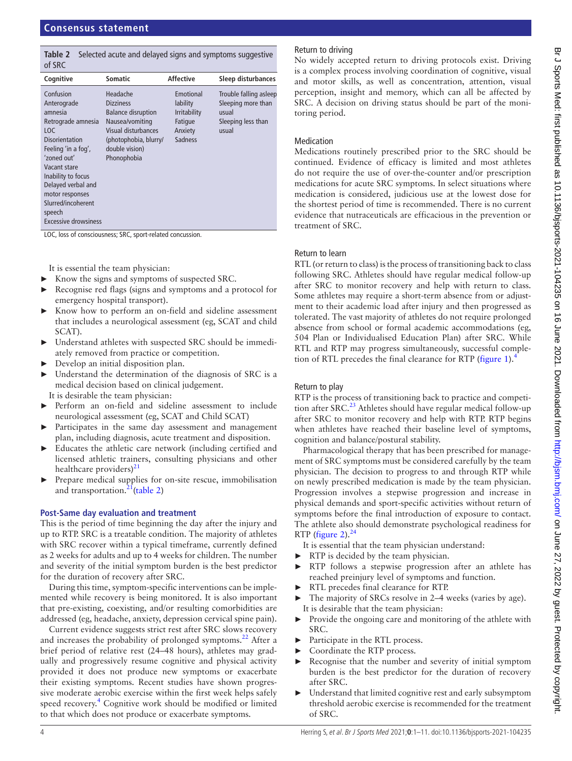<span id="page-3-0"></span>**Table 2** Selected acute and delayed signs and symptoms suggestive of SRC

| Cognitive                                                                                                                                                                                                                                                                      | <b>Somatic</b>                                                                                                                                                | <b>Affective</b>                                                       | Sleep disturbances                                                                   |
|--------------------------------------------------------------------------------------------------------------------------------------------------------------------------------------------------------------------------------------------------------------------------------|---------------------------------------------------------------------------------------------------------------------------------------------------------------|------------------------------------------------------------------------|--------------------------------------------------------------------------------------|
| Confusion<br>Anterograde<br>amnesia<br>Retrograde amnesia<br>LOC.<br><b>Disorientation</b><br>Feeling 'in a fog',<br>'zoned out'<br>Vacant stare<br>Inability to focus<br>Delayed verbal and<br>motor responses<br>Slurred/incoherent<br>speech<br><b>Excessive drowsiness</b> | Headache<br><b>Dizziness</b><br><b>Balance disruption</b><br>Nausea/vomiting<br>Visual disturbances<br>(photophobia, blurry/<br>double vision)<br>Phonophobia | Emotional<br>lability<br>Irritability<br>Fatique<br>Anxiety<br>Sadness | Trouble falling asleep<br>Sleeping more than<br>usual<br>Sleeping less than<br>usual |

LOC, loss of consciousness; SRC, sport-related concussion.

It is essential the team physician:

- Know the signs and symptoms of suspected SRC.
- ► Recognise red flags (signs and symptoms and a protocol for emergency hospital transport).
- ► Know how to perform an on-field and sideline assessment that includes a neurological assessment (eg, SCAT and child SCAT).
- ► Understand athletes with suspected SRC should be immediately removed from practice or competition.
- ► Develop an initial disposition plan.
- Understand the determination of the diagnosis of SRC is a medical decision based on clinical judgement.
- It is desirable the team physician:
- Perform an on-field and sideline assessment to include neurological assessment (eg, SCAT and Child SCAT)
- Participates in the same day assessment and management plan, including diagnosis, acute treatment and disposition.
- Educates the athletic care network (including certified and licensed athletic trainers, consulting physicians and other healthcare providers)<sup>[21](#page-9-14)</sup>
- ► Prepare medical supplies for on-site rescue, immobilisation and transportation.<sup>21</sup>([table](#page-3-0) 2)

#### **Post-Same day evaluation and treatment**

This is the period of time beginning the day after the injury and up to RTP. SRC is a treatable condition. The majority of athletes with SRC recover within a typical timeframe, currently defined as 2 weeks for adults and up to 4 weeks for children. The number and severity of the initial symptom burden is the best predictor for the duration of recovery after SRC.

During this time, symptom-specific interventions can be implemented while recovery is being monitored. It is also important that pre-existing, coexisting, and/or resulting comorbidities are addressed (eg, headache, anxiety, depression cervical spine pain).

Current evidence suggests strict rest after SRC slows recovery and increases the probability of prolonged symptoms.<sup>22</sup> After a brief period of relative rest (24–48 hours), athletes may gradually and progressively resume cognitive and physical activity provided it does not produce new symptoms or exacerbate their existing symptoms. Recent studies have shown progressive moderate aerobic exercise within the first week helps safely speed recovery.<sup>[4](#page-9-3)</sup> Cognitive work should be modified or limited to that which does not produce or exacerbate symptoms.

#### Return to driving

No widely accepted return to driving protocols exist. Driving is a complex process involving coordination of cognitive, visual and motor skills, as well as concentration, attention, visual perception, insight and memory, which can all be affected by SRC. A decision on driving status should be part of the monitoring period.

#### Medication

Medications routinely prescribed prior to the SRC should be continued. Evidence of efficacy is limited and most athletes do not require the use of over-the-counter and/or prescription medications for acute SRC symptoms. In select situations where medication is considered, judicious use at the lowest dose for the shortest period of time is recommended. There is no current evidence that nutraceuticals are efficacious in the prevention or treatment of SRC.

#### Return to learn

RTL (or return to class) is the process of transitioning back to class following SRC. Athletes should have regular medical follow-up after SRC to monitor recovery and help with return to class. Some athletes may require a short-term absence from or adjustment to their academic load after injury and then progressed as tolerated. The vast majority of athletes do not require prolonged absence from school or formal academic accommodations (eg, 504 Plan or Individualised Education Plan) after SRC. While RTL and RTP may progress simultaneously, successful completion of RTL precedes the final clearance for RTP ([figure](#page-4-0)  $1$ ).<sup>4</sup>

#### Return to play

RTP is the process of transitioning back to practice and competition after  $SRC<sup>23</sup>$  Athletes should have regular medical follow-up after SRC to monitor recovery and help with RTP. RTP begins when athletes have reached their baseline level of symptoms, cognition and balance/postural stability.

Pharmacological therapy that has been prescribed for management of SRC symptoms must be considered carefully by the team physician. The decision to progress to and through RTP while on newly prescribed medication is made by the team physician. Progression involves a stepwise progression and increase in physical demands and sport-specific activities without return of symptoms before the final introduction of exposure to contact. The athlete also should demonstrate psychological readiness for RTP [\(figure](#page-4-1) 2). $^{24}$  $^{24}$  $^{24}$ 

It is essential that the team physician understand:

- ► RTP is decided by the team physician.
- ► RTP follows a stepwise progression after an athlete has reached preinjury level of symptoms and function.
- ► RTL precedes final clearance for RTP.
- The majority of SRCs resolve in 2–4 weeks (varies by age). It is desirable that the team physician:
- ► Provide the ongoing care and monitoring of the athlete with SRC.
- ► Participate in the RTL process.
- Coordinate the RTP process.
- ► Recognise that the number and severity of initial symptom burden is the best predictor for the duration of recovery after SRC.
- Understand that limited cognitive rest and early subsymptom threshold aerobic exercise is recommended for the treatment of SRC.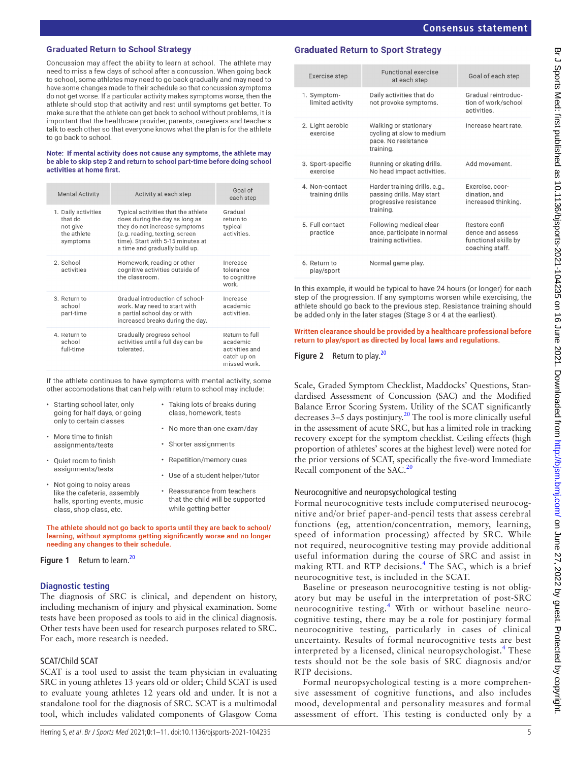### **Graduated Return to School Strategy**

Concussion may affect the ability to learn at school. The athlete may need to miss a few days of school after a concussion. When going back to school, some athletes may need to go back gradually and may need to have some changes made to their schedule so that concussion symptoms do not get worse. If a particular activity makes symptoms worse, then the athlete should stop that activity and rest until symptoms get better. To make sure that the athlete can get back to school without problems, it is important that the healthcare provider, parents, caregivers and teachers talk to each other so that everyone knows what the plan is for the athlete to go back to school.

#### Note: If mental activity does not cause any symptoms, the athlete may be able to skip step 2 and return to school part-time before doing school activities at home first.

| <b>Mental Activity</b>                                                | Activity at each step                                                                                                                                                                                           | Goal of<br>each step                                                        |
|-----------------------------------------------------------------------|-----------------------------------------------------------------------------------------------------------------------------------------------------------------------------------------------------------------|-----------------------------------------------------------------------------|
| 1. Daily activities<br>that do<br>not give<br>the athlete<br>symptoms | Typical activities that the athlete<br>does during the day as long as<br>they do not increase symptoms<br>(e.g. reading, texting, screen<br>time). Start with 5-15 minutes at<br>a time and gradually build up. | Gradual<br>return to<br>typical<br>activities.                              |
| 2. School<br>activities                                               | Homework, reading or other<br>cognitive activities outside of<br>the classroom.                                                                                                                                 | Increase<br>tolerance<br>to cognitive<br>work.                              |
| 3. Return to<br>school<br>part-time                                   | Gradual introduction of school-<br>work. May need to start with<br>a partial school day or with<br>increased breaks during the day.                                                                             | Increase<br>academic<br>activities.                                         |
| 4. Return to<br>school<br>full-time                                   | Gradually progress school<br>activities until a full day can be<br>tolerated.                                                                                                                                   | Return to full<br>academic<br>activities and<br>catch up on<br>missed work. |

If the athlete continues to have symptoms with mental activity, some other accomodations that can help with return to school may include:

| • Starting school later, only<br>going for half days, or going<br>only to certain classes              | • Taking lots of breaks during<br>class, homework, tests        |
|--------------------------------------------------------------------------------------------------------|-----------------------------------------------------------------|
|                                                                                                        | • No more than one exam/day                                     |
| • More time to finish<br>assignments/tests                                                             | • Shorter assignments                                           |
| • Quiet room to finish                                                                                 | • Repetition/memory cues                                        |
| assignments/tests                                                                                      | • Use of a student helper/tutor                                 |
| Not going to noisy areas<br>$\bullet$<br>like the cafeteria, assembly<br>halls, sporting events, music | • Reassurance from teachers<br>that the child will be supported |

<span id="page-4-0"></span>The athlete should not go back to sports until they are back to school/ learning, without symptoms getting significantly worse and no longer needing any changes to their schedule.

while getting better

**Figure 1** Return to learn.<sup>[20](#page-9-13)</sup>

class, shop class, etc.

# **Diagnostic testing**

The diagnosis of SRC is clinical, and dependent on history, including mechanism of injury and physical examination. Some tests have been proposed as tools to aid in the clinical diagnosis. Other tests have been used for research purposes related to SRC. For each, more research is needed.

# SCAT/Child SCAT

SCAT is a tool used to assist the team physician in evaluating SRC in young athletes 13 years old or older; Child SCAT is used to evaluate young athletes 12 years old and under. It is not a standalone tool for the diagnosis of SRC. SCAT is a multimodal tool, which includes validated components of Glasgow Coma

# **Graduated Return to Sport Strategy**

| <b>Exercise step</b>              | <b>Functional exercise</b><br>at each step                                                        | Goal of each step                                                             |
|-----------------------------------|---------------------------------------------------------------------------------------------------|-------------------------------------------------------------------------------|
| 1. Symptom-<br>limited activity   | Daily activities that do<br>not provoke symptoms.                                                 | Gradual reintroduc-<br>tion of work/school<br>activities.                     |
| 2. Light aerobic<br>exercise      | Walking or stationary<br>cycling at slow to medium<br>pace. No resistance<br>training.            | Increase heart rate.                                                          |
| 3. Sport-specific<br>exercise     | Running or skating drills.<br>No head impact activities.                                          | Add movement.                                                                 |
| 4. Non-contact<br>training drills | Harder training drills, e.g.,<br>passing drills. May start<br>progressive resistance<br>training. | Exercise, coor-<br>dination, and<br>increased thinking.                       |
| 5. Full contact<br>practice       | Following medical clear-<br>ance, participate in normal<br>training activities.                   | Restore confi-<br>dence and assess<br>functional skills by<br>coaching staff. |
| 6. Return to<br>play/sport        | Normal game play.                                                                                 |                                                                               |

In this example, it would be typical to have 24 hours (or longer) for each step of the progression. If any symptoms worsen while exercising, the athlete should go back to the previous step. Resistance training should be added only in the later stages (Stage 3 or 4 at the earliest).

#### <span id="page-4-1"></span>Written clearance should be provided by a healthcare professional before return to play/sport as directed by local laws and regulations.

**Figure 2** Return to play.<sup>[20](#page-9-13)</sup>

Scale, Graded Symptom Checklist, Maddocks' Questions, Standardised Assessment of Concussion (SAC) and the Modified Balance Error Scoring System. Utility of the SCAT significantly decreases 3–5 days postinjury.[20](#page-9-13) The tool is more clinically useful in the assessment of acute SRC, but has a limited role in tracking recovery except for the symptom checklist. Ceiling effects (high proportion of athletes' scores at the highest level) were noted for the prior versions of SCAT, specifically the five-word Immediate Recall component of the SAC.<sup>20</sup>

#### Neurocognitive and neuropsychological testing

Formal neurocognitive tests include computerised neurocognitive and/or brief paper-and-pencil tests that assess cerebral functions (eg, attention/concentration, memory, learning, speed of information processing) affected by SRC. While not required, neurocognitive testing may provide additional useful information during the course of SRC and assist in making RTL and RTP decisions.<sup>[4](#page-9-3)</sup> The SAC, which is a brief neurocognitive test, is included in the SCAT.

Baseline or preseason neurocognitive testing is not obligatory but may be useful in the interpretation of post-SRC neurocognitive testing.<sup>[4](#page-9-3)</sup> With or without baseline neurocognitive testing, there may be a role for postinjury formal neurocognitive testing, particularly in cases of clinical uncertainty. Results of formal neurocognitive tests are best interpreted by a licensed, clinical neuropsychologist.<sup>[4](#page-9-3)</sup> These tests should not be the sole basis of SRC diagnosis and/or RTP decisions.

Formal neuropsychological testing is a more comprehensive assessment of cognitive functions, and also includes mood, developmental and personality measures and formal assessment of effort. This testing is conducted only by a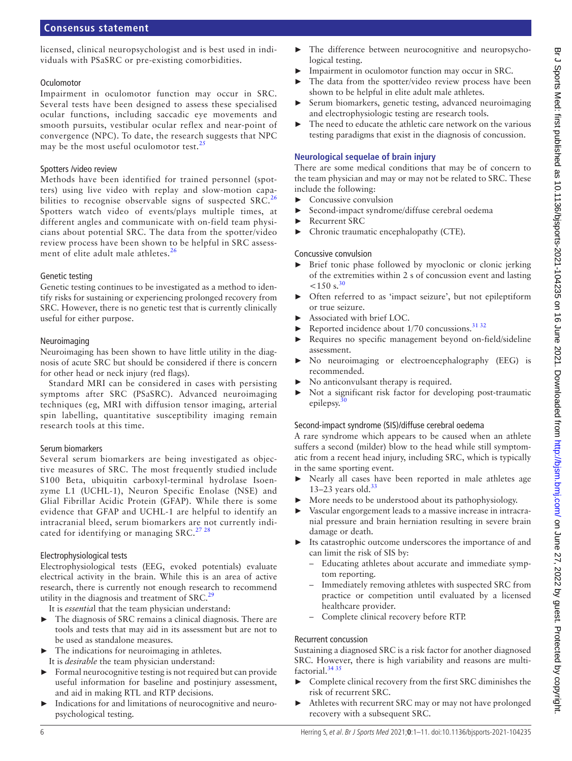#### **Consensus statement**

licensed, clinical neuropsychologist and is best used in individuals with PSaSRC or pre-existing comorbidities.

#### **Oculomotor**

Impairment in oculomotor function may occur in SRC. Several tests have been designed to assess these specialised ocular functions, including saccadic eye movements and smooth pursuits, vestibular ocular reflex and near-point of convergence (NPC). To date, the research suggests that NPC may be the most useful oculomotor test. $25$ 

#### Spotters /video review

Methods have been identified for trained personnel (spotters) using live video with replay and slow-motion capabilities to recognise observable signs of suspected  $SRC<sup>26</sup>$  $SRC<sup>26</sup>$  $SRC<sup>26</sup>$ Spotters watch video of events/plays multiple times, at different angles and communicate with on-field team physicians about potential SRC. The data from the spotter/video review process have been shown to be helpful in SRC assess-ment of elite adult male athletes.<sup>[26](#page-9-19)</sup>

#### Genetic testing

Genetic testing continues to be investigated as a method to identify risks for sustaining or experiencing prolonged recovery from SRC. However, there is no genetic test that is currently clinically useful for either purpose.

#### Neuroimaging

Neuroimaging has been shown to have little utility in the diagnosis of acute SRC but should be considered if there is concern for other head or neck injury (red flags).

Standard MRI can be considered in cases with persisting symptoms after SRC (PSaSRC). Advanced neuroimaging techniques (eg, MRI with diffusion tensor imaging, arterial spin labelling, quantitative susceptibility imaging remain research tools at this time.

#### Serum biomarkers

Several serum biomarkers are being investigated as objective measures of SRC. The most frequently studied include S100 Beta, ubiquitin carboxyl-terminal hydrolase Isoenzyme L1 (UCHL-1), Neuron Specific Enolase (NSE) and Glial Fibrillar Acidic Protein (GFAP). While there is some evidence that GFAP and UCHL-1 are helpful to identify an intracranial bleed, serum biomarkers are not currently indicated for identifying or managing  $SRC.<sup>27 28</sup>$  $SRC.<sup>27 28</sup>$  $SRC.<sup>27 28</sup>$ 

#### Electrophysiological tests

Electrophysiological tests (EEG, evoked potentials) evaluate electrical activity in the brain. While this is an area of active research, there is currently not enough research to recommend utility in the diagnosis and treatment of  $SRC<sup>29</sup>$  $SRC<sup>29</sup>$  $SRC<sup>29</sup>$ 

It is *essentia*l that the team physician understand:

- ► The diagnosis of SRC remains a clinical diagnosis. There are tools and tests that may aid in its assessment but are not to be used as standalone measures.
- ► The indications for neuroimaging in athletes. It is *desirable* the team physician understand:
- ► Formal neurocognitive testing is not required but can provide useful information for baseline and postinjury assessment, and aid in making RTL and RTP decisions.
- Indications for and limitations of neurocognitive and neuropsychological testing.
- ► The difference between neurocognitive and neuropsychological testing.
- Impairment in oculomotor function may occur in SRC.
- The data from the spotter/video review process have been shown to be helpful in elite adult male athletes.
- Serum biomarkers, genetic testing, advanced neuroimaging and electrophysiologic testing are research tools.
- The need to educate the athletic care network on the various testing paradigms that exist in the diagnosis of concussion.

#### **Neurological sequelae of brain injury**

There are some medical conditions that may be of concern to the team physician and may or may not be related to SRC. These include the following:

- ► Concussive convulsion
- Second-impact syndrome/diffuse cerebral oedema
- ► Recurrent SRC
- Chronic traumatic encephalopathy (CTE).

#### Concussive convulsion

- ► Brief tonic phase followed by myoclonic or clonic jerking of the extremities within 2 s of concussion event and lasting  $< 150$  s.<sup>[30](#page-9-22)</sup>
- Often referred to as 'impact seizure', but not epileptiform or true seizure.
- Associated with brief LOC.
- $\blacktriangleright$  Reported incidence about 1/70 concussions.<sup>[31 32](#page-9-23)</sup>
- Requires no specific management beyond on-field/sideline assessment.
- No neuroimaging or electroencephalography (EEG) is recommended.
- No anticonvulsant therapy is required.
- Not a significant risk factor for developing post-traumatic epilepsy.<sup>[30](#page-9-22)</sup>

#### Second-impact syndrome (SIS)/diffuse cerebral oedema

A rare syndrome which appears to be caused when an athlete suffers a second (milder) blow to the head while still symptomatic from a recent head injury, including SRC, which is typically in the same sporting event.

- ► Nearly all cases have been reported in male athletes age 13–23 years old. $33$
- ► More needs to be understood about its pathophysiology.
- Vascular engorgement leads to a massive increase in intracranial pressure and brain herniation resulting in severe brain damage or death.
- Its catastrophic outcome underscores the importance of and can limit the risk of SIS by:
	- Educating athletes about accurate and immediate symptom reporting.
	- Immediately removing athletes with suspected SRC from practice or competition until evaluated by a licensed healthcare provider.
	- Complete clinical recovery before RTP.

#### Recurrent concussion

Sustaining a diagnosed SRC is a risk factor for another diagnosed SRC. However, there is high variability and reasons are multifactorial[.34 35](#page-9-25)

- Complete clinical recovery from the first SRC diminishes the risk of recurrent SRC.
- Athletes with recurrent SRC may or may not have prolonged recovery with a subsequent SRC.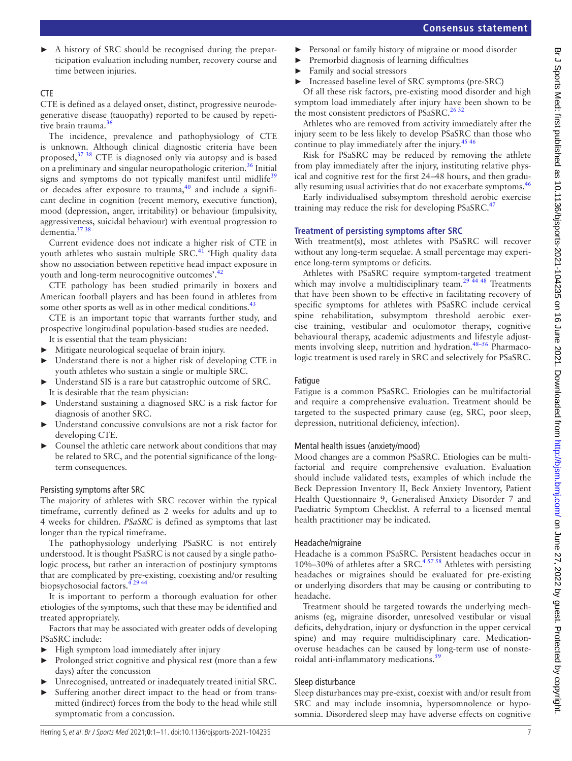► A history of SRC should be recognised during the preparticipation evaluation including number, recovery course and time between injuries.

# CTE

CTE is defined as a delayed onset, distinct, progressive neurodegenerative disease (tauopathy) reported to be caused by repeti-tive brain trauma.<sup>[36](#page-9-26)</sup>

The incidence, prevalence and pathophysiology of CTE is unknown. Although clinical diagnostic criteria have been proposed,<sup>[37 38](#page-9-27)</sup> CTE is diagnosed only via autopsy and is based on a preliminary and singular neuropathologic criterion[.36](#page-9-26) Initial signs and symptoms do not typically manifest until midlife<sup>[39](#page-9-28)</sup> or decades after exposure to trauma, $40$  and include a significant decline in cognition (recent memory, executive function), mood (depression, anger, irritability) or behaviour (impulsivity, aggressiveness, suicidal behaviour) with eventual progression to dementia.<sup>37</sup> 38

Current evidence does not indicate a higher risk of CTE in youth athletes who sustain multiple SRC.<sup>41</sup> 'High quality data show no association between repetitive head impact exposure in youth and long-term neurocognitive outcomes'.<sup>4</sup>

CTE pathology has been studied primarily in boxers and American football players and has been found in athletes from some other sports as well as in other medical conditions.<sup>43</sup>

CTE is an important topic that warrants further study, and prospective longitudinal population-based studies are needed.

- It is essential that the team physician:
- ► Mitigate neurological sequelae of brain injury.
- ► Understand there is not a higher risk of developing CTE in youth athletes who sustain a single or multiple SRC.
- ► Understand SIS is a rare but catastrophic outcome of SRC. It is desirable that the team physician:
- ► Understand sustaining a diagnosed SRC is a risk factor for diagnosis of another SRC.
- Understand concussive convulsions are not a risk factor for developing CTE.
- Counsel the athletic care network about conditions that may be related to SRC, and the potential significance of the longterm consequences.

# Persisting symptoms after SRC

The majority of athletes with SRC recover within the typical timeframe, currently defined as 2 weeks for adults and up to 4 weeks for children. *PSaSRC* is defined as symptoms that last longer than the typical timeframe.

The pathophysiology underlying PSaSRC is not entirely understood. It is thought PSaSRC is not caused by a single pathologic process, but rather an interaction of postinjury symptoms that are complicated by pre-existing, coexisting and/or resulting biopsychosocial factors.<sup>429 44</sup>

It is important to perform a thorough evaluation for other etiologies of the symptoms, such that these may be identified and treated appropriately.

Factors that may be associated with greater odds of developing PSaSRC include:

- ► High symptom load immediately after injury
- ► Prolonged strict cognitive and physical rest (more than a few days) after the concussion
- Unrecognised, untreated or inadequately treated initial SRC.
- Suffering another direct impact to the head or from transmitted (indirect) forces from the body to the head while still
- ► Personal or family history of migraine or mood disorder
- Premorbid diagnosis of learning difficulties
- Family and social stressors
- ► Increased baseline level of SRC symptoms (pre-SRC)

Of all these risk factors, pre-existing mood disorder and high symptom load immediately after injury have been shown to be the most consistent predictors of PSaSRC.<sup>2632</sup>

Athletes who are removed from activity immediately after the injury seem to be less likely to develop PSaSRC than those who continue to play immediately after the injury. $45\frac{46}{10}$ 

Risk for PSaSRC may be reduced by removing the athlete from play immediately after the injury, instituting relative physical and cognitive rest for the first 24–48 hours, and then gradu-ally resuming usual activities that do not exacerbate symptoms.<sup>[46](#page-9-34)</sup>

Early individualised subsymptom threshold aerobic exercise training may reduce the risk for developing PSaSRC.<sup>[47](#page-9-35)</sup>

# **Treatment of persisting symptoms after SRC**

With treatment(s), most athletes with PSaSRC will recover without any long-term sequelae. A small percentage may experience long-term symptoms or deficits.

Athletes with PSaSRC require symptom-targeted treatment which may involve a multidisciplinary team.<sup>29 44 48</sup> Treatments that have been shown to be effective in facilitating recovery of specific symptoms for athletes with PSaSRC include cervical spine rehabilitation, subsymptom threshold aerobic exercise training, vestibular and oculomotor therapy, cognitive behavioural therapy, academic adjustments and lifestyle adjustments involving sleep, nutrition and hydration.<sup>48–56</sup> Pharmacologic treatment is used rarely in SRC and selectively for PSaSRC.

#### **Fatigue**

Fatigue is a common PSaSRC. Etiologies can be multifactorial and require a comprehensive evaluation. Treatment should be targeted to the suspected primary cause (eg, SRC, poor sleep, depression, nutritional deficiency, infection).

# Mental health issues (anxiety/mood)

Mood changes are a common PSaSRC. Etiologies can be multifactorial and require comprehensive evaluation. Evaluation should include validated tests, examples of which include the Beck Depression Inventory II, Beck Anxiety Inventory, Patient Health Questionnaire 9, Generalised Anxiety Disorder 7 and Paediatric Symptom Checklist. A referral to a licensed mental health practitioner may be indicated.

# Headache/migraine

Headache is a common PSaSRC. Persistent headaches occur in 10%–30% of athletes after a SRC.<sup>4 57 58</sup> Athletes with persisting headaches or migraines should be evaluated for pre-existing or underlying disorders that may be causing or contributing to headache.

Treatment should be targeted towards the underlying mechanisms (eg, migraine disorder, unresolved vestibular or visual deficits, dehydration, injury or dysfunction in the upper cervical spine) and may require multidisciplinary care. Medicationoveruse headaches can be caused by long-term use of nonste-roidal anti-inflammatory medications.<sup>[59](#page-10-1)</sup>

# Sleep disturbance

Sleep disturbances may pre-exist, coexist with and/or result from SRC and may include insomnia, hypersomnolence or hyposomnia. Disordered sleep may have adverse effects on cognitive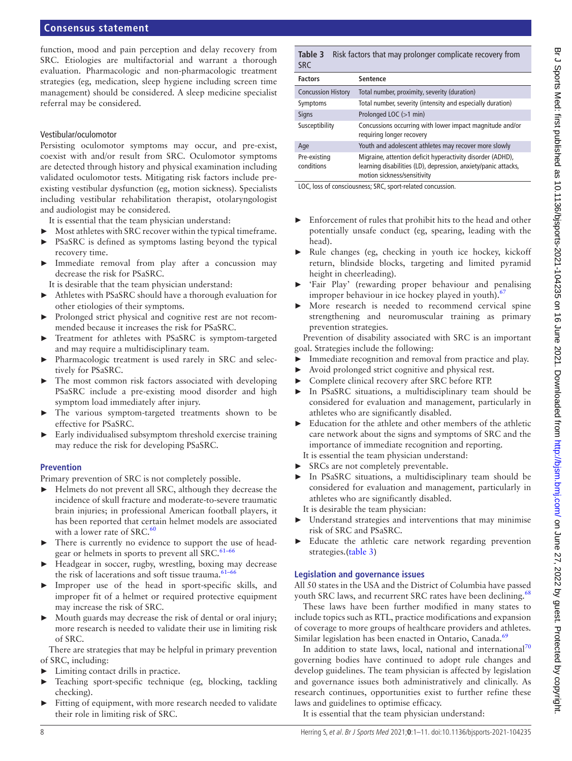### **Consensus statement**

function, mood and pain perception and delay recovery from SRC. Etiologies are multifactorial and warrant a thorough evaluation. Pharmacologic and non-pharmacologic treatment strategies (eg, medication, sleep hygiene including screen time management) should be considered. A sleep medicine specialist referral may be considered.

#### Vestibular/oculomotor

Persisting oculomotor symptoms may occur, and pre-exist, coexist with and/or result from SRC. Oculomotor symptoms are detected through history and physical examination including validated oculomotor tests. Mitigating risk factors include preexisting vestibular dysfunction (eg, motion sickness). Specialists including vestibular rehabilitation therapist, otolaryngologist and audiologist may be considered.

It is essential that the team physician understand:

- ► Most athletes with SRC recover within the typical timeframe. PSaSRC is defined as symptoms lasting beyond the typical recovery time.
- Immediate removal from play after a concussion may decrease the risk for PSaSRC.
- It is desirable that the team physician understand:
- ► Athletes with PSaSRC should have a thorough evaluation for other etiologies of their symptoms.
- Prolonged strict physical and cognitive rest are not recommended because it increases the risk for PSaSRC.
- Treatment for athletes with PSaSRC is symptom-targeted and may require a multidisciplinary team.
- ► Pharmacologic treatment is used rarely in SRC and selectively for PSaSRC.
- ► The most common risk factors associated with developing PSaSRC include a pre-existing mood disorder and high symptom load immediately after injury.
- The various symptom-targeted treatments shown to be effective for PSaSRC.
- Early individualised subsymptom threshold exercise training may reduce the risk for developing PSaSRC.

#### **Prevention**

Primary prevention of SRC is not completely possible.

- ► Helmets do not prevent all SRC, although they decrease the incidence of skull fracture and moderate-to-severe traumatic brain injuries; in professional American football players, it has been reported that certain helmet models are associated with a lower rate of SRC.<sup>60</sup>
- There is currently no evidence to support the use of headgear or helmets in sports to prevent all SRC.<sup>61-66</sup>
- Headgear in soccer, rugby, wrestling, boxing may decrease the risk of lacerations and soft tissue trauma. $61-66$
- Improper use of the head in sport-specific skills, and improper fit of a helmet or required protective equipment may increase the risk of SRC.
- Mouth guards may decrease the risk of dental or oral injury; more research is needed to validate their use in limiting risk of SRC.

There are strategies that may be helpful in primary prevention of SRC, including:

- Limiting contact drills in practice.
- Teaching sport-specific technique (eg, blocking, tackling checking).
- Fitting of equipment, with more research needed to validate their role in limiting risk of SRC.

<span id="page-7-0"></span>

| <b>SRC</b>     | <b>Table 3</b> Risk factors that may prolonger complicate recovery from |
|----------------|-------------------------------------------------------------------------|
| <b>Factors</b> | Sentence                                                                |
|                |                                                                         |

| <b>Concussion History</b>  | Total number, proximity, severity (duration)                                                                                                                |
|----------------------------|-------------------------------------------------------------------------------------------------------------------------------------------------------------|
| Symptoms                   | Total number, severity (intensity and especially duration)                                                                                                  |
| <b>Signs</b>               | Prolonged LOC (>1 min)                                                                                                                                      |
| Susceptibility             | Concussions occurring with lower impact magnitude and/or<br>requiring longer recovery                                                                       |
| Age                        | Youth and adolescent athletes may recover more slowly                                                                                                       |
| Pre-existing<br>conditions | Migraine, attention deficit hyperactivity disorder (ADHD),<br>learning disabilities (LD), depression, anxiety/panic attacks,<br>motion sickness/sensitivity |

LOC, loss of consciousness; SRC, sport-related concussion.

- Enforcement of rules that prohibit hits to the head and other potentially unsafe conduct (eg, spearing, leading with the head).
- Rule changes (eg, checking in youth ice hockey, kickoff return, blindside blocks, targeting and limited pyramid height in cheerleading).
- 'Fair Play' (rewarding proper behaviour and penalising improper behaviour in ice hockey played in youth). $\frac{6}{7}$
- More research is needed to recommend cervical spine strengthening and neuromuscular training as primary prevention strategies.

Prevention of disability associated with SRC is an important goal. Strategies include the following:

- Immediate recognition and removal from practice and play.
- Avoid prolonged strict cognitive and physical rest.
- ► Complete clinical recovery after SRC before RTP.
- ► In PSaSRC situations, a multidisciplinary team should be considered for evaluation and management, particularly in athletes who are significantly disabled.
- Education for the athlete and other members of the athletic care network about the signs and symptoms of SRC and the importance of immediate recognition and reporting. It is essential the team physician understand:
- SRCs are not completely preventable.
- In PSaSRC situations, a multidisciplinary team should be considered for evaluation and management, particularly in athletes who are significantly disabled.

It is desirable the team physician:

- Understand strategies and interventions that may minimise risk of SRC and PSaSRC.
- Educate the athletic care network regarding prevention strategies.[\(table](#page-7-0) 3)

#### **Legislation and governance issues**

All 50 states in the USA and the District of Columbia have passed youth SRC laws, and recurrent SRC rates have been declining.<sup>[68](#page-10-5)</sup>

These laws have been further modified in many states to include topics such as RTL, practice modifications and expansion of coverage to more groups of healthcare providers and athletes. Similar legislation has been enacted in Ontario, Canada.<sup>[69](#page-10-6)</sup>

In addition to state laws, local, national and international<sup>[70](#page-10-7)</sup> governing bodies have continued to adopt rule changes and develop guidelines. The team physician is affected by legislation and governance issues both administratively and clinically. As research continues, opportunities exist to further refine these laws and guidelines to optimise efficacy.

It is essential that the team physician understand: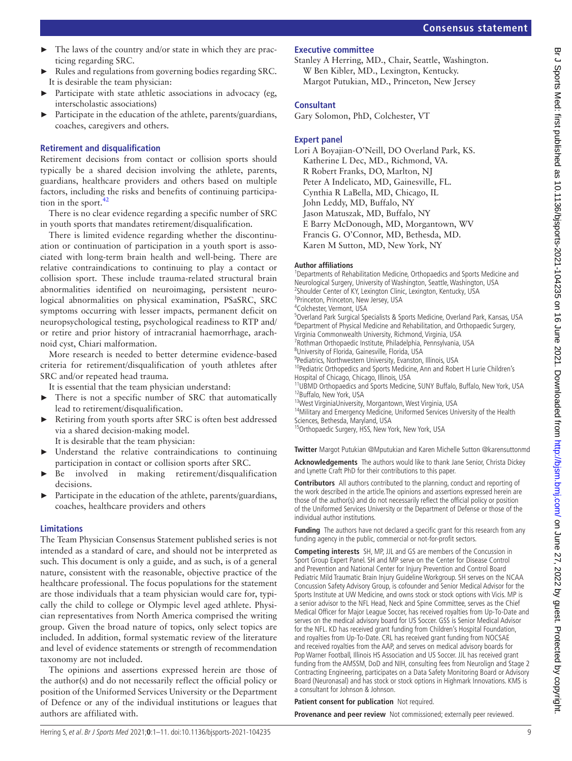- ► The laws of the country and/or state in which they are practicing regarding SRC.
- ► Rules and regulations from governing bodies regarding SRC. It is desirable the team physician:
- Participate with state athletic associations in advocacy (eg, interscholastic associations)
- Participate in the education of the athlete, parents/guardians, coaches, caregivers and others.

# **Retirement and disqualification**

Retirement decisions from contact or collision sports should typically be a shared decision involving the athlete, parents, guardians, healthcare providers and others based on multiple factors, including the risks and benefits of continuing participation in the sport. $42$ 

There is no clear evidence regarding a specific number of SRC in youth sports that mandates retirement/disqualification.

There is limited evidence regarding whether the discontinuation or continuation of participation in a youth sport is associated with long-term brain health and well-being. There are relative contraindications to continuing to play a contact or collision sport. These include trauma-related structural brain abnormalities identified on neuroimaging, persistent neurological abnormalities on physical examination, PSaSRC, SRC symptoms occurring with lesser impacts, permanent deficit on neuropsychological testing, psychological readiness to RTP and/ or retire and prior history of intracranial haemorrhage, arachnoid cyst, Chiari malformation.

More research is needed to better determine evidence-based criteria for retirement/disqualification of youth athletes after SRC and/or repeated head trauma.

It is essential that the team physician understand:

- There is not a specific number of SRC that automatically lead to retirement/disqualification.
- ► Retiring from youth sports after SRC is often best addressed via a shared decision-making model.

It is desirable that the team physician:

- ► Understand the relative contraindications to continuing participation in contact or collision sports after SRC.
- Be involved in making retirement/disqualification decisions.
- Participate in the education of the athlete, parents/guardians, coaches, healthcare providers and others

# **Limitations**

The Team Physician Consensus Statement published series is not intended as a standard of care, and should not be interpreted as such. This document is only a guide, and as such, is of a general nature, consistent with the reasonable, objective practice of the healthcare professional. The focus populations for the statement are those individuals that a team physician would care for, typically the child to college or Olympic level aged athlete. Physician representatives from North America comprised the writing group. Given the broad nature of topics, only select topics are included. In addition, formal systematic review of the literature and level of evidence statements or strength of recommendation taxonomy are not included.

The opinions and assertions expressed herein are those of the author(s) and do not necessarily reflect the official policy or position of the Uniformed Services University or the Department of Defence or any of the individual institutions or leagues that authors are affiliated with.

# **Executive committee**

Stanley A Herring, MD., Chair, Seattle, Washington. W Ben Kibler, MD., Lexington, Kentucky. Margot Putukian, MD., Princeton, New Jersey

### **Consultant**

Gary Solomon, PhD, Colchester, VT

### **Expert panel**

Lori A Boyajian-O'Neill, DO Overland Park, KS. Katherine L Dec, MD., Richmond, VA. R Robert Franks, DO, Marlton, NJ Peter A Indelicato, MD, Gainesville, FL. Cynthia R LaBella, MD, Chicago, IL John Leddy, MD, Buffalo, NY Jason Matuszak, MD, Buffalo, NY E Barry McDonough, MD, Morgantown, WV Francis G. O'Connor, MD, Bethesda, MD. Karen M Sutton, MD, New York, NY

#### **Author affiliations**

<sup>1</sup>Departments of Rehabilitation Medicine, Orthopaedics and Sports Medicine and Neurological Surgery, University of Washington, Seattle, Washington, USA <sup>2</sup>Shoulder Center of KY, Lexington Clinic, Lexington, Kentucky, USA <sup>3</sup>Princeton, Princeton, New Jersey, USA 4 Colchester, Vermont, USA 5 Overland Park Surgical Specialists & Sports Medicine, Overland Park, Kansas, USA <sup>6</sup>Department of Physical Medicine and Rehabilitation, and Orthopaedic Surgery, Virginia Commonwealth University, Richmond, Virginia, USA 7 Rothman Orthopaedic Institute, Philadelphia, Pennsylvania, USA 8 University of Florida, Gainesville, Florida, USA 9 Pediatrics, Northwestern University, Evanston, Illinois, USA <sup>10</sup>Pediatric Orthopedics and Sports Medicine, Ann and Robert H Lurie Children's Hospital of Chicago, Chicago, Illinois, USA 11UBMD Orthopaedics and Sports Medicine, SUNY Buffalo, Buffalo, New York, USA 12Buffalo, New York, USA 13West VirginiaUniversity, Morgantown, West Virginia, USA <sup>14</sup>Military and Emergency Medicine, Uniformed Services University of the Health Sciences, Bethesda, Maryland, USA 15Orthopaedic Surgery, HSS, New York, New York, USA **Twitter** Margot Putukian [@Mputukian](https://twitter.com/Mputukian) and Karen Michelle Sutton [@karensuttonmd](https://twitter.com/karensuttonmd)

**Acknowledgements** The authors would like to thank Jane Senior, Christa Dickey

and Lynette Craft PhD for their contributions to this paper.

**Contributors** All authors contributed to the planning, conduct and reporting of the work described in the article.The opinions and assertions expressed herein are those of the author(s) and do not necessarily reflect the official policy or position of the Uniformed Services University or the Department of Defense or those of the individual author institutions.

**Funding** The authors have not declared a specific grant for this research from any funding agency in the public, commercial or not-for-profit sectors.

**Competing interests** SH, MP, JJL and GS are members of the Concussion in Sport Group Expert Panel. SH and MP serve on the Center for Disease Control and Prevention and National Center for Injury Prevention and Control Board Pediatric Mild Traumatic Brain Injury Guideline Workgroup. SH serves on the NCAA Concussion Safety Advisory Group, is cofounder and Senior Medical Advisor for the Sports Institute at UW Medicine, and owns stock or stock options with Vicis. MP is a senior advisor to the NFL Head, Neck and Spine Committee, serves as the Chief Medical Officer for Major League Soccer, has received royalties from Up-To-Date and serves on the medical advisory board for US Soccer. GSS is Senior Medical Advisor for the NFL. KD has received grant funding from Children's Hospital Foundation, and royalties from Up-To-Date. CRL has received grant funding from NOCSAE and received royalties from the AAP, and serves on medical advisory boards for Pop Warner Football, Illinois HS Association and US Soccer. JJL has received grant funding from the AMSSM, DoD and NIH, consulting fees from Neurolign and Stage 2 Contracting Engineering, participates on a Data Safety Monitoring Board or Advisory Board (Neuronasal) and has stock or stock options in Highmark Innovations. KMS is a consultant for Johnson & Johnson.

**Patient consent for publication** Not required.

**Provenance and peer review** Not commissioned; externally peer reviewed.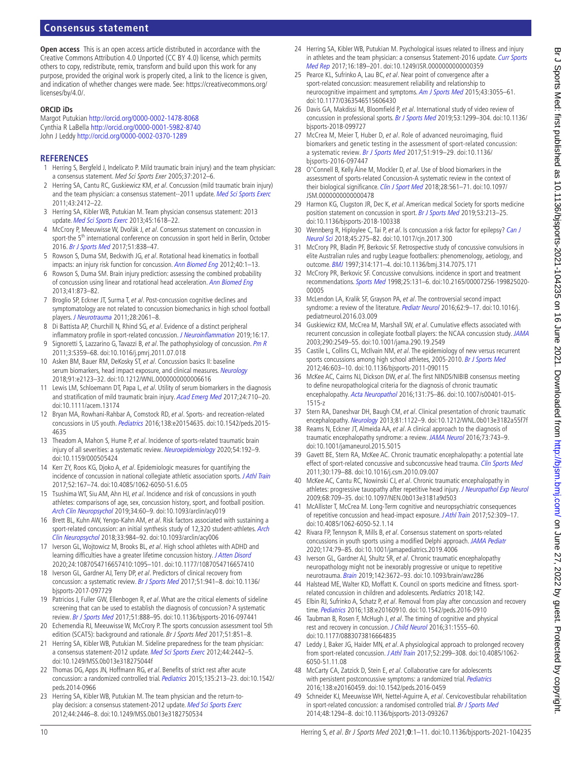### **Consensus statement**

**Open access** This is an open access article distributed in accordance with the Creative Commons Attribution 4.0 Unported (CC BY 4.0) license, which permits others to copy, redistribute, remix, transform and build upon this work for any purpose, provided the original work is properly cited, a link to the licence is given, and indication of whether changes were made. See: [https://creativecommons.org/](https://creativecommons.org/licenses/by/4.0/) [licenses/by/4.0/.](https://creativecommons.org/licenses/by/4.0/)

#### **ORCID iDs**

Margot Putukian <http://orcid.org/0000-0002-1478-8068> Cynthia R LaBella <http://orcid.org/0000-0001-5982-8740> John J Leddy <http://orcid.org/0000-0002-0370-1289>

#### **REFERENCES**

- <span id="page-9-0"></span>1 Herring S, Bergfeld J, Indelicato P. Mild traumatic brain injury) and the team physician: a consensus statement. Med Sci Sports Exer 2005;37:2012–6.
- <span id="page-9-1"></span>2 Herring SA, Cantu RC, Guskiewicz KM, et al. Concussion (mild traumatic brain injury) and the team physician: a consensus statement--2011 update. [Med Sci Sports Exerc](http://dx.doi.org/10.1249/MSS.0b013e3182342e64) 2011;43:2412–22.
- <span id="page-9-2"></span>3 Herring SA, Kibler WB, Putukian M. Team physician consensus statement: 2013 update. [Med Sci Sports Exerc](http://dx.doi.org/10.1249/MSS.0b013e31829ba437) 2013;45:1618–22.
- <span id="page-9-3"></span>4 McCrory P, Meeuwisse W, Dvořák J, et al. Consensus statement on concussion in sport-the 5<sup>th</sup> international conference on concussion in sport held in Berlin, October 2016. [Br J Sports Med](http://dx.doi.org/10.1136/bjsports-2017-097699) 2017;51:838–47.
- <span id="page-9-4"></span>5 Rowson S, Duma SM, Beckwith JG, et al. Rotational head kinematics in football impacts: an injury risk function for concussion. [Ann Biomed Eng](http://dx.doi.org/10.1007/s10439-011-0392-4) 2012;40:1-13.
- 6 Rowson S, Duma SM. Brain injury prediction: assessing the combined probability of concussion using linear and rotational head acceleration. [Ann Biomed Eng](http://dx.doi.org/10.1007/s10439-012-0731-0) 2013;41:873–82.
- <span id="page-9-5"></span>7 Broglio SP, Eckner JT, Surma T, et al. Post-concussion cognitive declines and symptomatology are not related to concussion biomechanics in high school football players. [J Neurotrauma](http://dx.doi.org/10.1089/neu.2011.1905) 2011;28:2061–8.
- <span id="page-9-6"></span>8 Di Battista AP, Churchill N, Rhind SG, et al. Evidence of a distinct peripheral inflammatory profile in sport-related concussion. *[J Neuroinflammation](http://dx.doi.org/10.1186/s12974-019-1402-y)* 2019;16:17.
- 9 Signoretti S, Lazzarino G, Tavazzi B, et al. The pathophysiology of concussion. [Pm R](http://dx.doi.org/10.1016/j.pmrj.2011.07.018) 2011;3:S359–68. doi:10.1016/j.pmrj.2011.07.018
- <span id="page-9-7"></span>10 Asken BM, Bauer RM, DeKosky ST, et al. Concussion basics II: baseline serum biomarkers, head impact exposure, and clinical measures. [Neurology](http://dx.doi.org/10.1212/WNL.0000000000006616) 2018;91:e2123–32. doi:10.1212/WNL.0000000000006616
- 11 Lewis LM, Schloemann DT, Papa L, et al. Utility of serum biomarkers in the diagnosis and stratification of mild traumatic brain injury. [Acad Emerg Med](http://dx.doi.org/10.1111/acem.13174) 2017;24:710-20. doi:10.1111/acem.13174
- <span id="page-9-8"></span>12 Bryan MA, Rowhani-Rahbar A, Comstock RD, et al. Sports- and recreation-related concussions in US youth. [Pediatrics](http://dx.doi.org/10.1542/peds.2015-4635) 2016;138:e20154635. doi:10.1542/peds.2015-4635
- <span id="page-9-9"></span>13 Theadom A, Mahon S, Hume P, et al. Incidence of sports-related traumatic brain injury of all severities: a systematic review. [Neuroepidemiology](http://dx.doi.org/10.1159/000505424) 2020;54:192-9. doi:10.1159/000505424
- <span id="page-9-10"></span>14 Kerr ZY, Roos KG, Djoko A, et al. Epidemiologic measures for quantifying the incidence of concussion in national collegiate athletic association sports. [J Athl Train](http://dx.doi.org/10.4085/1062-6050-51.6.05) 2017;52:167–74. doi:10.4085/1062-6050-51.6.05
- <span id="page-9-11"></span>15 Tsushima WT, Siu AM, Ahn HJ, et al. Incidence and risk of concussions in youth athletes: comparisons of age, sex, concussion history, sport, and football position. [Arch Clin Neuropsychol](http://dx.doi.org/10.1093/arclin/acy019) 2019;34:60–9. doi:10.1093/arclin/acy019
- <span id="page-9-12"></span>16 Brett BL, Kuhn AW, Yengo-Kahn AM, et al. Risk factors associated with sustaining a sport-related concussion: an initial synthesis study of 12,320 student-athletes. Arch [Clin Neuropsychol](http://dx.doi.org/10.1093/arclin/acy006) 2018;33:984–92. doi:10.1093/arclin/acy006
- 17 Iverson GL, Wojtowicz M, Brooks BL, et al. High school athletes with ADHD and learning difficulties have a greater lifetime concussion history. [J Atten Disord](http://dx.doi.org/10.1177/1087054716657410) 2020;24:1087054716657410:1095–101. doi:10.1177/1087054716657410
- 18 Iverson GL, Gardner AJ, Terry DP, et al. Predictors of clinical recovery from concussion: a systematic review. [Br J Sports Med](http://dx.doi.org/10.1136/bjsports-2017-097729) 2017;51:941–8. doi:10.1136/ bjsports-2017-097729
- 19 Patricios J, Fuller GW, Ellenbogen R, et al. What are the critical elements of sideline screening that can be used to establish the diagnosis of concussion? A systematic review. [Br J Sports Med](http://dx.doi.org/10.1136/bjsports-2016-097441) 2017;51:888–95. doi:10.1136/bjsports-2016-097441
- <span id="page-9-13"></span>20 Echemendia RJ, Meeuwisse W, McCrory P. The sports concussion assessment tool 5th edition (SCAT5): background and rationale. Br J Sports Med 2017;51:851-8.
- <span id="page-9-14"></span>21 Herring SA, Kibler WB, Putukian M. Sideline preparedness for the team physician: a consensus statement-2012 update. [Med Sci Sports Exerc](http://dx.doi.org/10.1249/MSS.0b013e318275044f) 2012;44:2442–5. doi:10.1249/MSS.0b013e318275044f
- <span id="page-9-15"></span>22 Thomas DG, Apps JN, Hoffmann RG, et al. Benefits of strict rest after acute concussion: a randomized controlled trial. [Pediatrics](http://dx.doi.org/10.1542/peds.2014-0966) 2015;135:213–23. doi:10.1542/ peds.2014-0966
- <span id="page-9-16"></span>23 Herring SA, Kibler WB, Putukian M. The team physician and the return-to-play decision: a consensus statement-2012 update. [Med Sci Sports Exerc](http://dx.doi.org/10.1249/MSS.0b013e3182750534) 2012;44:2446–8. doi:10.1249/MSS.0b013e3182750534
- <span id="page-9-17"></span>24 Herring SA, Kibler WB, Putukian M. Psychological issues related to illness and injury in athletes and the team physician: a consensus Statement-2016 update. Curr Sports [Med Rep](http://dx.doi.org/10.1249/JSR.0000000000000359) 2017;16:189–201. doi:10.1249/JSR.0000000000000359
- <span id="page-9-18"></span>25 Pearce KL, Sufrinko A, Lau BC, et al. Near point of convergence after a sport-related concussion: measurement reliability and relationship to neurocognitive impairment and symptoms. [Am J Sports Med](http://dx.doi.org/10.1177/0363546515606430) 2015:43:3055-61. doi:10.1177/0363546515606430
- <span id="page-9-19"></span>26 Davis GA, Makdissi M, Bloomfield P, et al. International study of video review of concussion in professional sports. [Br J Sports Med](http://dx.doi.org/10.1136/bjsports-2018-099727) 2019;53:1299-304. doi:10.1136/ bjsports-2018-099727
- <span id="page-9-20"></span>27 McCrea M, Meier T, Huber D, et al. Role of advanced neuroimaging, fluid biomarkers and genetic testing in the assessment of sport-related concussion: a systematic review. [Br J Sports Med](http://dx.doi.org/10.1136/bjsports-2016-097447) 2017;51:919–29. doi:10.1136/ bjsports-2016-097447
- 28 O'Connell B, Kelly Áine M, Mockler D, et al. Use of blood biomarkers in the assessment of sports-related Concussion-A systematic review in the context of their biological significance. [Clin J Sport Med](http://dx.doi.org/10.1097/JSM.0000000000000478) 2018;28:561-71. doi:10.1097/ JSM.0000000000000478
- <span id="page-9-21"></span>29 Harmon KG, Clugston JR, Dec K, et al. American medical Society for sports medicine position statement on concussion in sport. [Br J Sports Med](http://dx.doi.org/10.1136/bjsports-2018-100338) 2019;53:213-25. doi:10.1136/bjsports-2018-100338
- <span id="page-9-22"></span>30 Wennberg R, Hiploylee C, Tai P, et al. Is concussion a risk factor for epilepsy? Can J [Neurol Sci](http://dx.doi.org/10.1017/cjn.2017.300) 2018;45:275–82. doi:10.1017/cjn.2017.300
- <span id="page-9-23"></span>31 McCrory PR, Bladin PF, Berkovic SF. Retrospective study of concussive convulsions in elite Australian rules and rugby League footballers: phenomenology, aetiology, and outcome. [BMJ](http://dx.doi.org/10.1136/bmj.314.7075.171) 1997;314:171–4. doi:10.1136/bmj.314.7075.171
- 32 McCrory PR, Berkovic SF. Concussive convulsions. incidence in sport and treatment recommendations. [Sports Med](http://dx.doi.org/10.2165/00007256-199825020-00005) 1998;25:131–6. doi:10.2165/00007256-199825020- 00005
- <span id="page-9-24"></span>33 McLendon LA, Kralik SF, Grayson PA, et al. The controversial second impact syndrome: a review of the literature. [Pediatr Neurol](http://dx.doi.org/10.1016/j.pediatrneurol.2016.03.009) 2016;62:9-17. doi:10.1016/j. pediatrneurol.2016.03.009
- <span id="page-9-25"></span>34 Guskiewicz KM, McCrea M, Marshall SW, et al. Cumulative effects associated with recurrent concussion in collegiate football players: the NCAA concussion study. [JAMA](http://dx.doi.org/10.1001/jama.290.19.2549) 2003;290:2549–55. doi:10.1001/jama.290.19.2549
- 35 Castile L, Collins CL, McIlvain NM, et al. The epidemiology of new versus recurrent sports concussions among high school athletes, 2005-2010. [Br J Sports Med](http://dx.doi.org/10.1136/bjsports-2011-090115) 2012;46:603–10. doi:10.1136/bjsports-2011-090115
- <span id="page-9-26"></span>36 McKee AC, Cairns NJ, Dickson DW, et al. The first NINDS/NIBIB consensus meeting to define neuropathological criteria for the diagnosis of chronic traumatic encephalopathy. [Acta Neuropathol](http://dx.doi.org/10.1007/s00401-015-1515-z) 2016;131:75–86. doi:10.1007/s00401-015- 1515-z
- <span id="page-9-27"></span>37 Stern RA, Daneshvar DH, Baugh CM, et al. Clinical presentation of chronic traumatic encephalopathy. [Neurology](http://dx.doi.org/10.1212/WNL.0b013e3182a55f7f) 2013;81:1122–9. doi:10.1212/WNL.0b013e3182a55f7f
- 38 Reams N, Eckner JT, Almeida AA, et al. A clinical approach to the diagnosis of traumatic encephalopathy syndrome: a review. [JAMA Neurol](http://dx.doi.org/10.1001/jamaneurol.2015.5015) 2016;73:743–9. doi:10.1001/jamaneurol.2015.5015
- <span id="page-9-28"></span>39 Gavett BE, Stern RA, McKee AC. Chronic traumatic encephalopathy: a potential late effect of sport-related concussive and subconcussive head trauma. [Clin Sports Med](http://dx.doi.org/10.1016/j.csm.2010.09.007) 2011;30:179–88. doi:10.1016/j.csm.2010.09.007
- <span id="page-9-29"></span>40 McKee AC, Cantu RC, Nowinski CJ, et al. Chronic traumatic encephalopathy in athletes: progressive tauopathy after repetitive head injury. [J Neuropathol Exp Neurol](http://dx.doi.org/10.1097/NEN.0b013e3181a9d503) 2009;68:709–35. doi:10.1097/NEN.0b013e3181a9d503
- <span id="page-9-30"></span>41 McAllister T, McCrea M. Long-Term cognitive and neuropsychiatric consequences of repetitive concussion and head-impact exposure. *[J Athl Train](http://dx.doi.org/10.4085/1062-6050-52.1.14)* 2017;52:309-17. doi:10.4085/1062-6050-52.1.14
- <span id="page-9-31"></span>42 Rivara FP, Tennyson R, Mills B, et al. Consensus statement on sports-related concussions in youth sports using a modified Delphi approach. [JAMA Pediatr](http://dx.doi.org/10.1001/jamapediatrics.2019.4006) 2020;174:79–85. doi:10.1001/jamapediatrics.2019.4006
- <span id="page-9-32"></span>43 Iverson GL, Gardner AJ, Shultz SR, et al. Chronic traumatic encephalopathy neuropathology might not be inexorably progressive or unique to repetitive neurotrauma. [Brain](http://dx.doi.org/10.1093/brain/awz286) 2019;142:3672–93. doi:10.1093/brain/awz286
- 44 Halstead ME, Walter KD, Moffatt K. Council on sports medicine and fitness. sportrelated concussion in children and adolescents. Pediatrics 2018;142.
- <span id="page-9-33"></span>45 Elbin RJ, Sufrinko A, Schatz P, et al. Removal from play after concussion and recovery time. [Pediatrics](http://dx.doi.org/10.1542/peds.2016-0910) 2016;138:e20160910. doi:10.1542/peds.2016-0910
- <span id="page-9-34"></span>46 Taubman B, Rosen F, McHugh J, et al. The timing of cognitive and physical rest and recovery in concussion. [J Child Neurol](http://dx.doi.org/10.1177/0883073816664835) 2016;31:1555-60. doi:10.1177/0883073816664835
- <span id="page-9-35"></span>47 Leddy J, Baker JG, Haider MN, et al. A physiological approach to prolonged recovery from sport-related concussion. [J Athl Train](http://dx.doi.org/10.4085/1062-6050-51.11.08) 2017;52:299-308. doi:10.4085/1062-6050-51.11.08
- <span id="page-9-36"></span>48 McCarty CA, Zatzick D, Stein E, et al. Collaborative care for adolescents with persistent postconcussive symptoms: a randomized trial. [Pediatrics](http://dx.doi.org/10.1542/peds.2016-0459) 2016;138:e20160459. doi:10.1542/peds.2016-0459
- 49 Schneider KJ, Meeuwisse WH, Nettel-Aguirre A, et al. Cervicovestibular rehabilitation in sport-related concussion: a randomised controlled trial. [Br J Sports Med](http://dx.doi.org/10.1136/bjsports-2013-093267) 2014;48:1294–8. doi:10.1136/bjsports-2013-093267